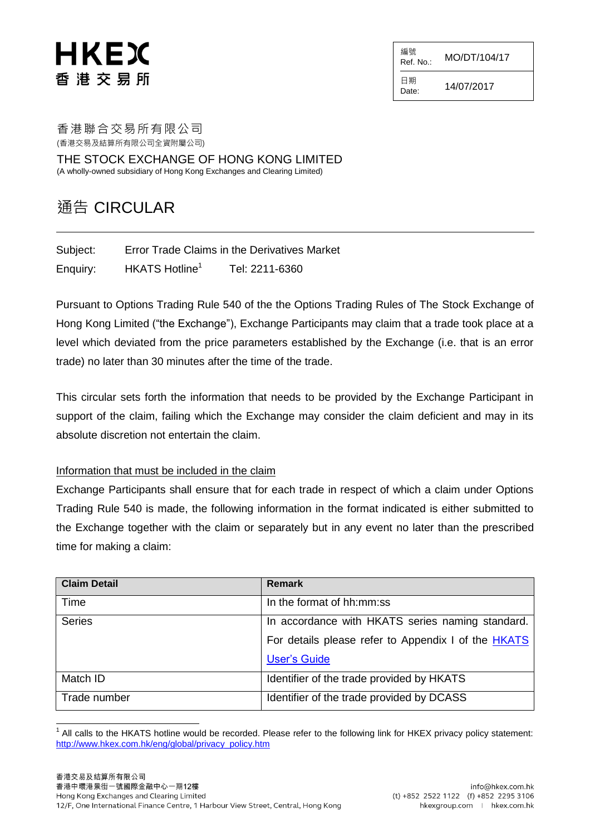## HKEX 香 港 交 易 所

編號  $R$ ef. No.: MO/DT/104/17

日期  $D_{\text{date}:}$  14/07/2017

香港聯合交易所有限公司 (香港交易及結算所有限公司全資附屬公司)

THE STOCK EXCHANGE OF HONG KONG LIMITED (A wholly-owned subsidiary of Hong Kong Exchanges and Clearing Limited)

## 通告 CIRCULAR

Subject: Error Trade Claims in the Derivatives Market Enquiry: HKATS Hotline<sup>1</sup> Tel: 2211-6360

Pursuant to Options Trading Rule 540 of the the Options Trading Rules of The Stock Exchange of Hong Kong Limited ("the Exchange"), Exchange Participants may claim that a trade took place at a level which deviated from the price parameters established by the Exchange (i.e. that is an error trade) no later than 30 minutes after the time of the trade.

This circular sets forth the information that needs to be provided by the Exchange Participant in support of the claim, failing which the Exchange may consider the claim deficient and may in its absolute discretion not entertain the claim.

## Information that must be included in the claim

Exchange Participants shall ensure that for each trade in respect of which a claim under Options Trading Rule 540 is made, the following information in the format indicated is either submitted to the Exchange together with the claim or separately but in any event no later than the prescribed time for making a claim:

| <b>Claim Detail</b> | <b>Remark</b>                                       |
|---------------------|-----------------------------------------------------|
| Time                | In the format of hh:mm:ss                           |
| <b>Series</b>       | In accordance with HKATS series naming standard.    |
|                     | For details please refer to Appendix I of the HKATS |
|                     | <b>User's Guide</b>                                 |
| Match ID            | Identifier of the trade provided by HKATS           |
| Trade number        | Identifier of the trade provided by DCASS           |

l 1 All calls to the HKATS hotline would be recorded. Please refer to the following link for HKEX privacy policy statement: [http://www.hkex.com.hk/eng/global/privacy\\_policy.htm](http://www.hkex.com.hk/eng/global/privacy_policy.htm)